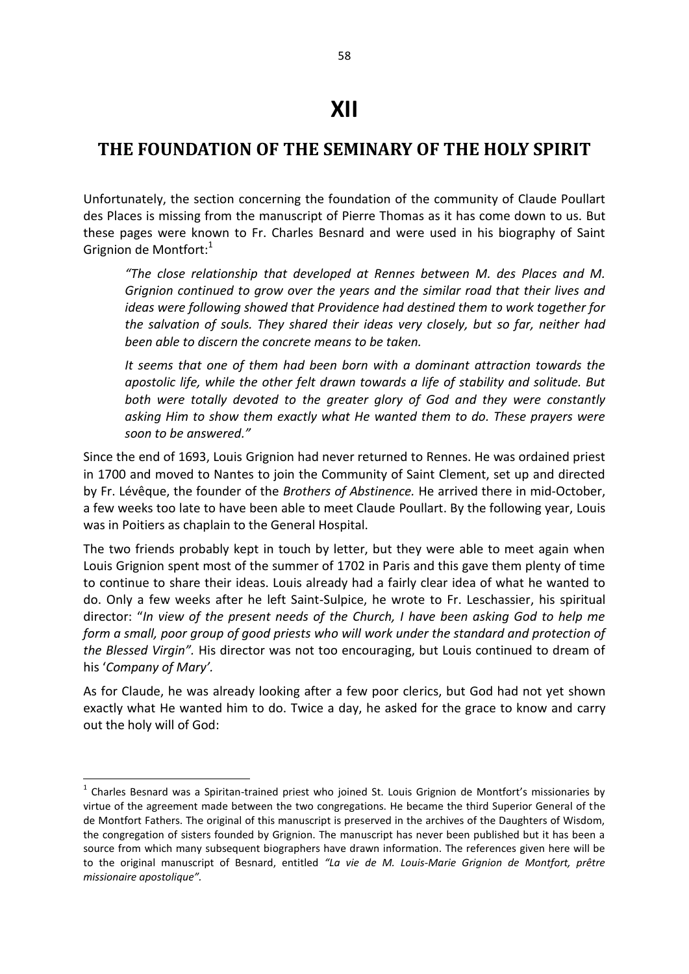## **XII**

## **THE FOUNDATION OF THE SEMINARY OF THE HOLY SPIRIT**

Unfortunately, the section concerning the foundation of the community of Claude Poullart des Places is missing from the manuscript of Pierre Thomas as it has come down to us. But these pages were known to Fr. Charles Besnard and were used in his biography of Saint Grignion de Montfort:<sup>1</sup>

*"The close relationship that developed at Rennes between M. des Places and M. Grignion continued to grow over the years and the similar road that their lives and ideas were following showed that Providence had destined them to work together for the salvation of souls. They shared their ideas very closely, but so far, neither had been able to discern the concrete means to be taken.* 

*It seems that one of them had been born with a dominant attraction towards the apostolic life, while the other felt drawn towards a life of stability and solitude. But both were totally devoted to the greater glory of God and they were constantly asking Him to show them exactly what He wanted them to do. These prayers were soon to be answered."*

Since the end of 1693, Louis Grignion had never returned to Rennes. He was ordained priest in 1700 and moved to Nantes to join the Community of Saint Clement, set up and directed by Fr. Lévêque, the founder of the *Brothers of Abstinence.* He arrived there in mid-October, a few weeks too late to have been able to meet Claude Poullart. By the following year, Louis was in Poitiers as chaplain to the General Hospital.

The two friends probably kept in touch by letter, but they were able to meet again when Louis Grignion spent most of the summer of 1702 in Paris and this gave them plenty of time to continue to share their ideas. Louis already had a fairly clear idea of what he wanted to do. Only a few weeks after he left Saint-Sulpice, he wrote to Fr. Leschassier, his spiritual director: "*In view of the present needs of the Church, I have been asking God to help me form a small, poor group of good priests who will work under the standard and protection of the Blessed Virgin".* His director was not too encouraging, but Louis continued to dream of his '*Company of Mary'.* 

As for Claude, he was already looking after a few poor clerics, but God had not yet shown exactly what He wanted him to do. Twice a day, he asked for the grace to know and carry out the holy will of God:

 $\overline{a}$ 

 $<sup>1</sup>$  Charles Besnard was a Spiritan-trained priest who joined St. Louis Grignion de Montfort's missionaries by</sup> virtue of the agreement made between the two congregations. He became the third Superior General of the de Montfort Fathers. The original of this manuscript is preserved in the archives of the Daughters of Wisdom, the congregation of sisters founded by Grignion. The manuscript has never been published but it has been a source from which many subsequent biographers have drawn information. The references given here will be to the original manuscript of Besnard, entitled *"La vie de M. Louis-Marie Grignion de Montfort, prêtre missionaire apostolique".*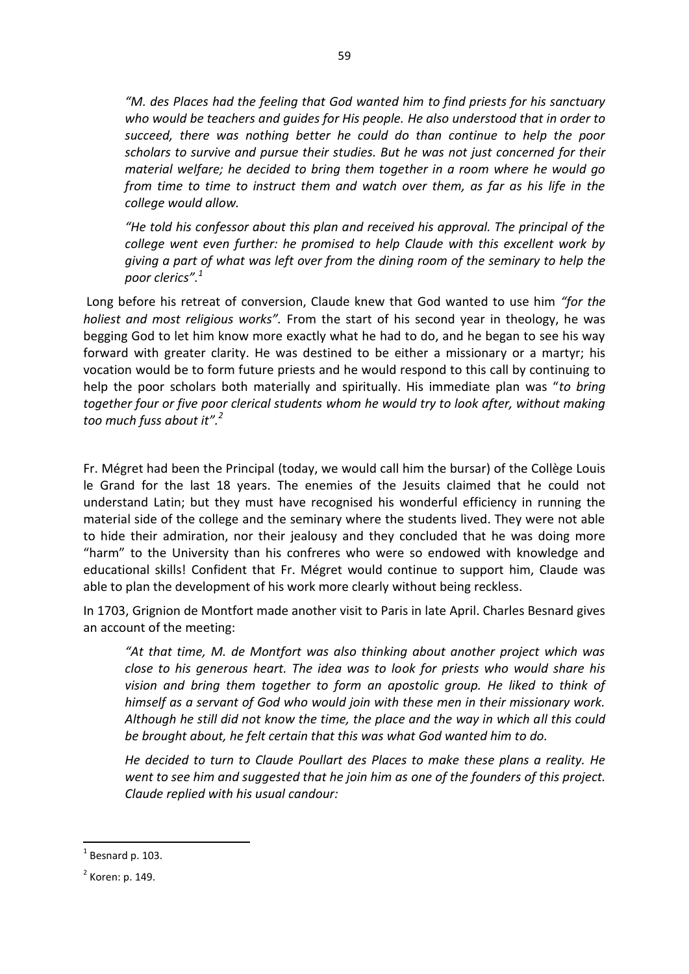*"M. des Places had the feeling that God wanted him to find priests for his sanctuary who would be teachers and guides for His people. He also understood that in order to succeed, there was nothing better he could do than continue to help the poor scholars to survive and pursue their studies. But he was not just concerned for their material welfare; he decided to bring them together in a room where he would go from time to time to instruct them and watch over them, as far as his life in the college would allow.* 

*"He told his confessor about this plan and received his approval. The principal of the college went even further: he promised to help Claude with this excellent work by giving a part of what was left over from the dining room of the seminary to help the poor clerics".<sup>1</sup>* 

Long before his retreat of conversion, Claude knew that God wanted to use him *"for the holiest and most religious works".* From the start of his second year in theology, he was begging God to let him know more exactly what he had to do, and he began to see his way forward with greater clarity. He was destined to be either a missionary or a martyr; his vocation would be to form future priests and he would respond to this call by continuing to help the poor scholars both materially and spiritually. His immediate plan was "*to bring together four or five poor clerical students whom he would try to look after, without making too much fuss about it".<sup>2</sup>*

Fr. Mégret had been the Principal (today, we would call him the bursar) of the Collège Louis le Grand for the last 18 years. The enemies of the Jesuits claimed that he could not understand Latin; but they must have recognised his wonderful efficiency in running the material side of the college and the seminary where the students lived. They were not able to hide their admiration, nor their jealousy and they concluded that he was doing more "harm" to the University than his confreres who were so endowed with knowledge and educational skills! Confident that Fr. Mégret would continue to support him, Claude was able to plan the development of his work more clearly without being reckless.

In 1703, Grignion de Montfort made another visit to Paris in late April. Charles Besnard gives an account of the meeting:

*"At that time, M. de Montfort was also thinking about another project which was close to his generous heart. The idea was to look for priests who would share his vision and bring them together to form an apostolic group. He liked to think of himself as a servant of God who would join with these men in their missionary work. Although he still did not know the time, the place and the way in which all this could be brought about, he felt certain that this was what God wanted him to do.* 

*He decided to turn to Claude Poullart des Places to make these plans a reality. He went to see him and suggested that he join him as one of the founders of this project. Claude replied with his usual candour:* 

<sup>1</sup> Besnard p. 103.

 $<sup>2</sup>$  Koren: p. 149.</sup>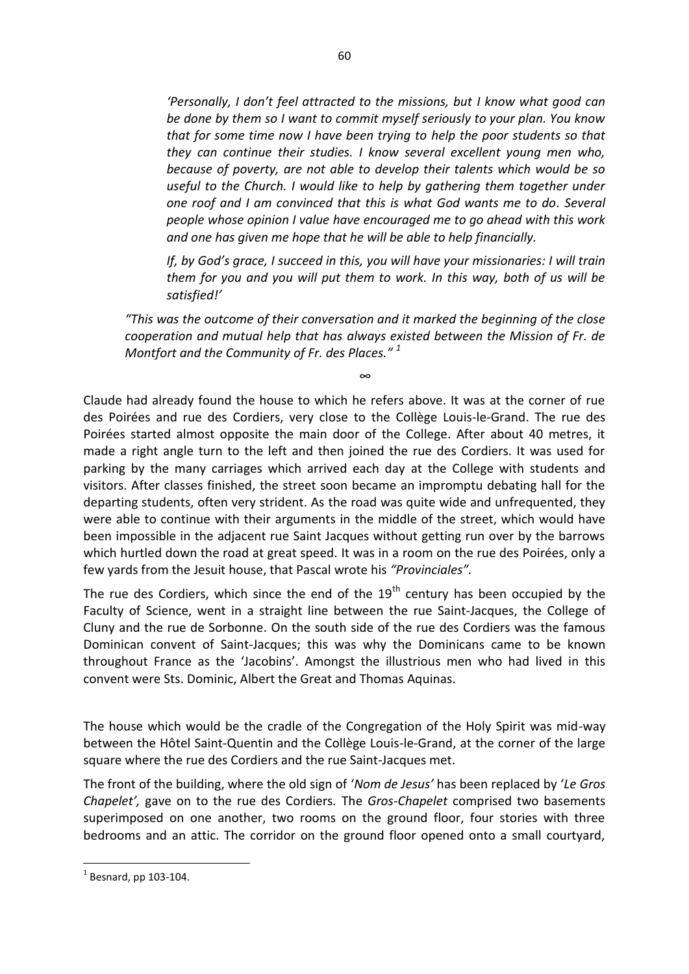*'Personally, I don't feel attracted to the missions, but I know what good can be done by them so I want to commit myself seriously to your plan. You know that for some time now I have been trying to help the poor students so that they can continue their studies. I know several excellent young men who, because of poverty, are not able to develop their talents which would be so useful to the Church. I would like to help by gathering them together under one roof and I am convinced that this is what God wants me to do. Several people whose opinion I value have encouraged me to go ahead with this work and one has given me hope that he will be able to help financially.* 

*If, by God's grace, I succeed in this, you will have your missionaries: I will train them for you and you will put them to work. In this way, both of us will be satisfied!'*

*"This was the outcome of their conversation and it marked the beginning of the close cooperation and mutual help that has always existed between the Mission of Fr. de Montfort and the Community of Fr. des Places." <sup>1</sup>*

∞

Claude had already found the house to which he refers above. It was at the corner of rue des Poirées and rue des Cordiers, very close to the Collège Louis-le-Grand. The rue des Poirées started almost opposite the main door of the College. After about 40 metres, it made a right angle turn to the left and then joined the rue des Cordiers. It was used for parking by the many carriages which arrived each day at the College with students and visitors. After classes finished, the street soon became an impromptu debating hall for the departing students, often very strident. As the road was quite wide and unfrequented, they were able to continue with their arguments in the middle of the street, which would have been impossible in the adjacent rue Saint Jacques without getting run over by the barrows which hurtled down the road at great speed. It was in a room on the rue des Poirées, only a few yards from the Jesuit house, that Pascal wrote his *"Provinciales".* 

The rue des Cordiers, which since the end of the  $19<sup>th</sup>$  century has been occupied by the Faculty of Science, went in a straight line between the rue Saint-Jacques, the College of Cluny and the rue de Sorbonne. On the south side of the rue des Cordiers was the famous Dominican convent of Saint-Jacques; this was why the Dominicans came to be known throughout France as the 'Jacobins'. Amongst the illustrious men who had lived in this convent were Sts. Dominic, Albert the Great and Thomas Aquinas.

The house which would be the cradle of the Congregation of the Holy Spirit was mid-way between the Hôtel Saint-Quentin and the Collège Louis-le-Grand, at the corner of the large square where the rue des Cordiers and the rue Saint-Jacques met.

The front of the building, where the old sign of '*Nom de Jesus'* has been replaced by '*Le Gros Chapelet',* gave on to the rue des Cordiers*.* The *Gros-Chapelet* comprised two basements superimposed on one another, two rooms on the ground floor, four stories with three bedrooms and an attic. The corridor on the ground floor opened onto a small courtyard,

 $<sup>1</sup>$  Besnard, pp 103-104.</sup>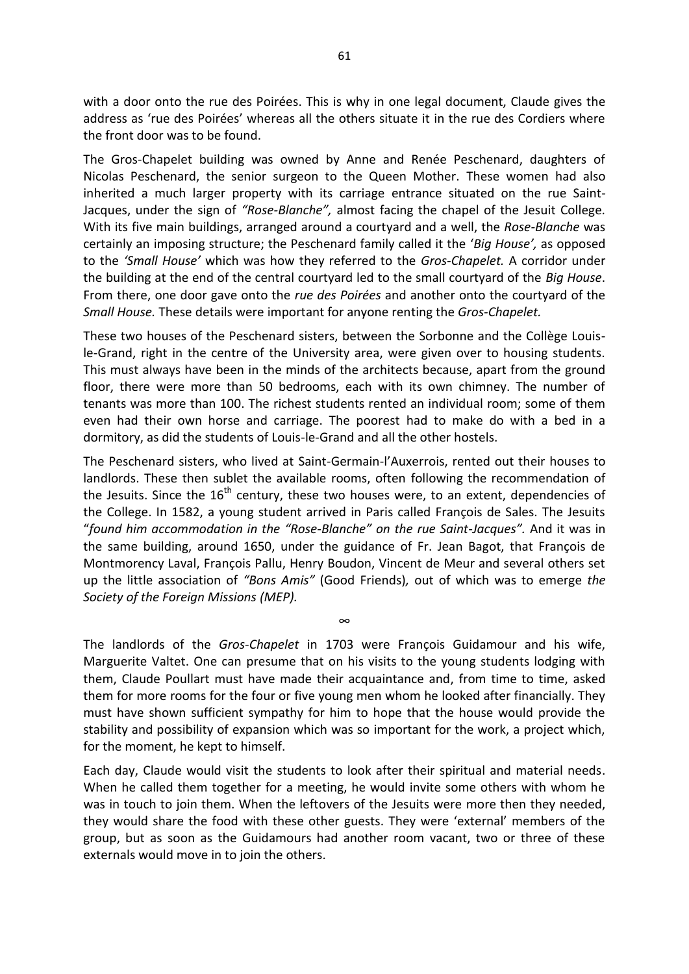with a door onto the rue des Poirées. This is why in one legal document, Claude gives the address as 'rue des Poirées' whereas all the others situate it in the rue des Cordiers where the front door was to be found.

The Gros-Chapelet building was owned by Anne and Renée Peschenard, daughters of Nicolas Peschenard, the senior surgeon to the Queen Mother. These women had also inherited a much larger property with its carriage entrance situated on the rue Saint-Jacques, under the sign of *"Rose-Blanche",* almost facing the chapel of the Jesuit College*.*  With its five main buildings, arranged around a courtyard and a well, the *Rose-Blanche* was certainly an imposing structure; the Peschenard family called it the '*Big House',* as opposed to the *'Small House'* which was how they referred to the *Gros-Chapelet.* A corridor under the building at the end of the central courtyard led to the small courtyard of the *Big House*. From there, one door gave onto the *rue des Poirées* and another onto the courtyard of the *Small House.* These details were important for anyone renting the *Gros-Chapelet.* 

These two houses of the Peschenard sisters, between the Sorbonne and the Collège Louisle-Grand, right in the centre of the University area, were given over to housing students. This must always have been in the minds of the architects because, apart from the ground floor, there were more than 50 bedrooms, each with its own chimney. The number of tenants was more than 100. The richest students rented an individual room; some of them even had their own horse and carriage. The poorest had to make do with a bed in a dormitory, as did the students of Louis-le-Grand and all the other hostels.

The Peschenard sisters, who lived at Saint-Germain-l'Auxerrois, rented out their houses to landlords. These then sublet the available rooms, often following the recommendation of the Jesuits. Since the  $16<sup>th</sup>$  century, these two houses were, to an extent, dependencies of the College. In 1582, a young student arrived in Paris called François de Sales. The Jesuits "*found him accommodation in the "Rose-Blanche" on the rue Saint-Jacques".* And it was in the same building, around 1650, under the guidance of Fr. Jean Bagot, that François de Montmorency Laval, François Pallu, Henry Boudon, Vincent de Meur and several others set up the little association of *"Bons Amis"* (Good Friends)*,* out of which was to emerge *the Society of the Foreign Missions (MEP).* 

The landlords of the *Gros-Chapelet* in 1703 were François Guidamour and his wife, Marguerite Valtet. One can presume that on his visits to the young students lodging with them, Claude Poullart must have made their acquaintance and, from time to time, asked them for more rooms for the four or five young men whom he looked after financially. They must have shown sufficient sympathy for him to hope that the house would provide the stability and possibility of expansion which was so important for the work, a project which, for the moment, he kept to himself.

∞

Each day, Claude would visit the students to look after their spiritual and material needs. When he called them together for a meeting, he would invite some others with whom he was in touch to join them. When the leftovers of the Jesuits were more then they needed, they would share the food with these other guests. They were 'external' members of the group, but as soon as the Guidamours had another room vacant, two or three of these externals would move in to join the others.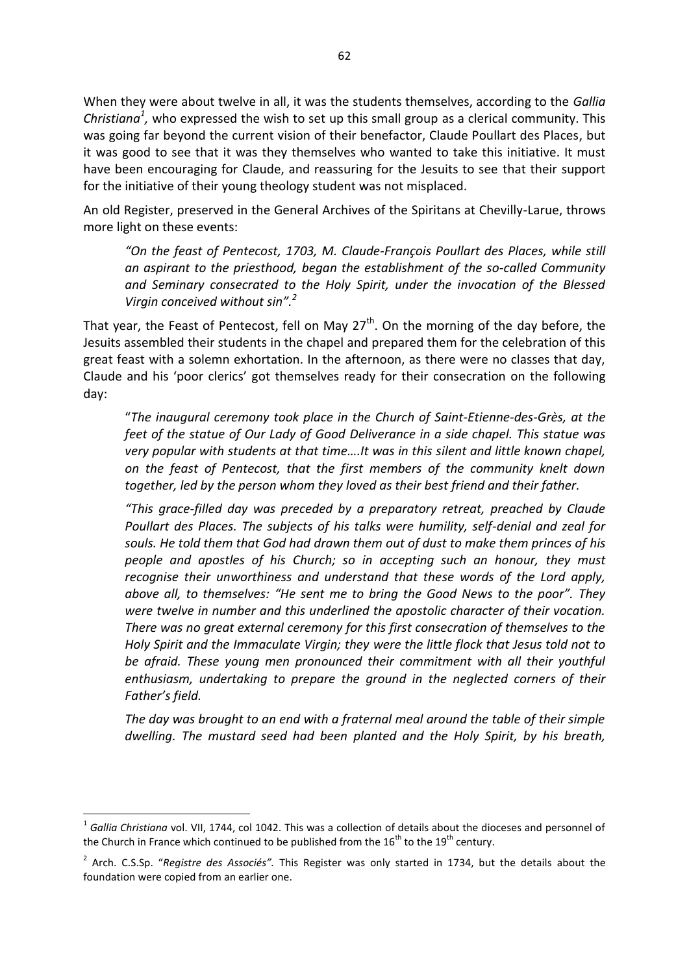When they were about twelve in all, it was the students themselves, according to the *Gallia Christiana<sup>1</sup>*, who expressed the wish to set up this small group as a clerical community. This was going far beyond the current vision of their benefactor, Claude Poullart des Places, but it was good to see that it was they themselves who wanted to take this initiative. It must have been encouraging for Claude, and reassuring for the Jesuits to see that their support for the initiative of their young theology student was not misplaced.

An old Register, preserved in the General Archives of the Spiritans at Chevilly-Larue, throws more light on these events:

*"On the feast of Pentecost, 1703, M. Claude-François Poullart des Places, while still an aspirant to the priesthood, began the establishment of the so-called Community and Seminary consecrated to the Holy Spirit, under the invocation of the Blessed Virgin conceived without sin".<sup>2</sup>*

That year, the Feast of Pentecost, fell on May  $27<sup>th</sup>$ . On the morning of the day before, the Jesuits assembled their students in the chapel and prepared them for the celebration of this great feast with a solemn exhortation. In the afternoon, as there were no classes that day, Claude and his 'poor clerics' got themselves ready for their consecration on the following day:

"*The inaugural ceremony took place in the Church of Saint-Etienne-des-Grès, at the feet of the statue of Our Lady of Good Deliverance in a side chapel. This statue was very popular with students at that time….It was in this silent and little known chapel, on the feast of Pentecost, that the first members of the community knelt down together, led by the person whom they loved as their best friend and their father.* 

*"This grace-filled day was preceded by a preparatory retreat, preached by Claude Poullart des Places. The subjects of his talks were humility, self-denial and zeal for souls. He told them that God had drawn them out of dust to make them princes of his people and apostles of his Church; so in accepting such an honour, they must recognise their unworthiness and understand that these words of the Lord apply, above all, to themselves: "He sent me to bring the Good News to the poor". They were twelve in number and this underlined the apostolic character of their vocation. There was no great external ceremony for this first consecration of themselves to the Holy Spirit and the Immaculate Virgin; they were the little flock that Jesus told not to*  be afraid. These young men pronounced their commitment with all their youthful *enthusiasm, undertaking to prepare the ground in the neglected corners of their Father's field.* 

*The day was brought to an end with a fraternal meal around the table of their simple dwelling. The mustard seed had been planted and the Holy Spirit, by his breath,* 

<sup>1</sup> *Gallia Christiana* vol. VII, 1744, col 1042. This was a collection of details about the dioceses and personnel of the Church in France which continued to be published from the  $16^{th}$  to the  $19^{th}$  century.

<sup>2</sup> Arch. C.S.Sp. "*Registre des Associés".* This Register was only started in 1734, but the details about the foundation were copied from an earlier one.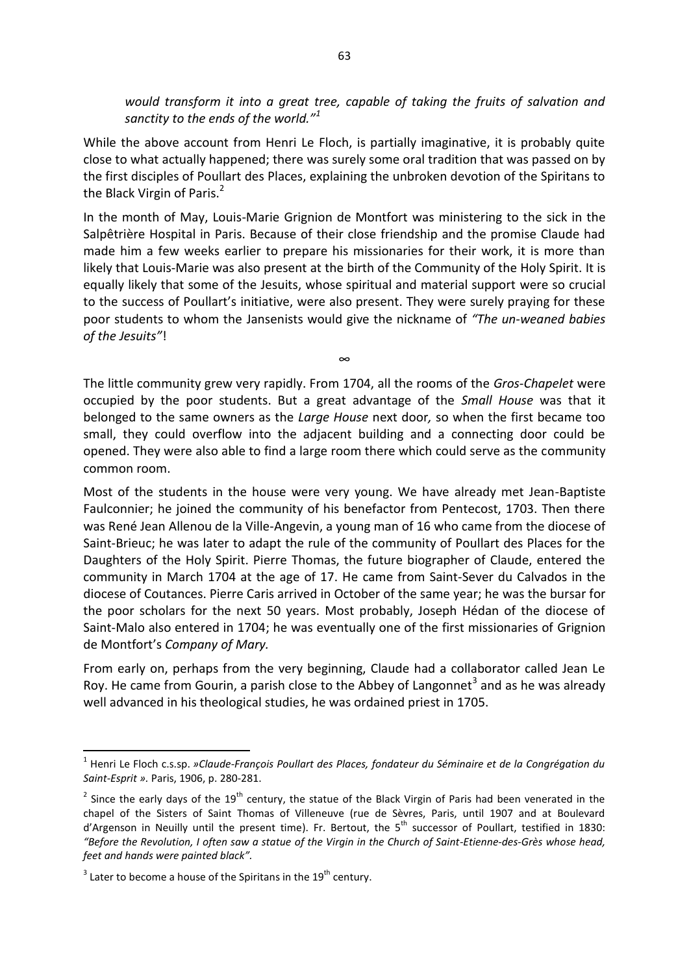*would transform it into a great tree, capable of taking the fruits of salvation and sanctity to the ends of the world."<sup>1</sup>*

While the above account from Henri Le Floch, is partially imaginative, it is probably quite close to what actually happened; there was surely some oral tradition that was passed on by the first disciples of Poullart des Places, explaining the unbroken devotion of the Spiritans to the Black Virgin of Paris.<sup>2</sup>

In the month of May, Louis-Marie Grignion de Montfort was ministering to the sick in the Salpêtrière Hospital in Paris. Because of their close friendship and the promise Claude had made him a few weeks earlier to prepare his missionaries for their work, it is more than likely that Louis-Marie was also present at the birth of the Community of the Holy Spirit. It is equally likely that some of the Jesuits, whose spiritual and material support were so crucial to the success of Poullart's initiative, were also present. They were surely praying for these poor students to whom the Jansenists would give the nickname of *"The un-weaned babies of the Jesuits"*!

The little community grew very rapidly. From 1704, all the rooms of the *Gros-Chapelet* were occupied by the poor students. But a great advantage of the *Small House* was that it belonged to the same owners as the *Large House* next door*,* so when the first became too small, they could overflow into the adjacent building and a connecting door could be opened. They were also able to find a large room there which could serve as the community common room.

∞

Most of the students in the house were very young. We have already met Jean-Baptiste Faulconnier; he joined the community of his benefactor from Pentecost, 1703. Then there was René Jean Allenou de la Ville-Angevin, a young man of 16 who came from the diocese of Saint-Brieuc; he was later to adapt the rule of the community of Poullart des Places for the Daughters of the Holy Spirit. Pierre Thomas, the future biographer of Claude, entered the community in March 1704 at the age of 17. He came from Saint-Sever du Calvados in the diocese of Coutances. Pierre Caris arrived in October of the same year; he was the bursar for the poor scholars for the next 50 years. Most probably, Joseph Hédan of the diocese of Saint-Malo also entered in 1704; he was eventually one of the first missionaries of Grignion de Montfort's *Company of Mary.* 

From early on, perhaps from the very beginning, Claude had a collaborator called Jean Le Roy. He came from Gourin, a parish close to the Abbey of Langonnet<sup>3</sup> and as he was already well advanced in his theological studies, he was ordained priest in 1705.

<sup>1</sup> Henri Le Floch c.s.sp. *»Claude-François Poullart des Places, fondateur du Séminaire et de la Congrégation du Saint-Esprit ».* Paris, 1906, p. 280-281.

<sup>&</sup>lt;sup>2</sup> Since the early days of the 19<sup>th</sup> century, the statue of the Black Virgin of Paris had been venerated in the chapel of the Sisters of Saint Thomas of Villeneuve (rue de Sèvres, Paris, until 1907 and at Boulevard d'Argenson in Neuilly until the present time). Fr. Bertout, the  $5<sup>th</sup>$  successor of Poullart, testified in 1830: *"Before the Revolution, I often saw a statue of the Virgin in the Church of Saint-Etienne-des-Grès whose head, feet and hands were painted black".* 

 $3$  Later to become a house of the Spiritans in the 19<sup>th</sup> century.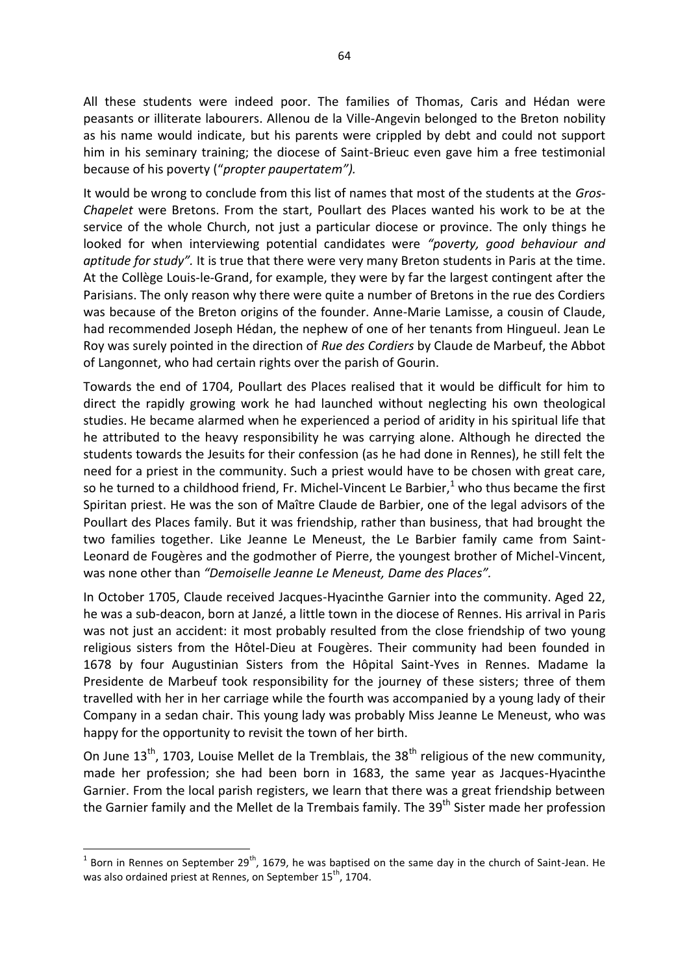All these students were indeed poor. The families of Thomas, Caris and Hédan were peasants or illiterate labourers. Allenou de la Ville-Angevin belonged to the Breton nobility as his name would indicate, but his parents were crippled by debt and could not support him in his seminary training; the diocese of Saint-Brieuc even gave him a free testimonial because of his poverty ("*propter paupertatem").* 

It would be wrong to conclude from this list of names that most of the students at the *Gros-Chapelet* were Bretons. From the start, Poullart des Places wanted his work to be at the service of the whole Church, not just a particular diocese or province. The only things he looked for when interviewing potential candidates were *"poverty, good behaviour and aptitude for study".* It is true that there were very many Breton students in Paris at the time. At the Collège Louis-le-Grand, for example, they were by far the largest contingent after the Parisians. The only reason why there were quite a number of Bretons in the rue des Cordiers was because of the Breton origins of the founder. Anne-Marie Lamisse, a cousin of Claude, had recommended Joseph Hédan, the nephew of one of her tenants from Hingueul. Jean Le Roy was surely pointed in the direction of *Rue des Cordiers* by Claude de Marbeuf, the Abbot of Langonnet, who had certain rights over the parish of Gourin.

Towards the end of 1704, Poullart des Places realised that it would be difficult for him to direct the rapidly growing work he had launched without neglecting his own theological studies. He became alarmed when he experienced a period of aridity in his spiritual life that he attributed to the heavy responsibility he was carrying alone. Although he directed the students towards the Jesuits for their confession (as he had done in Rennes), he still felt the need for a priest in the community. Such a priest would have to be chosen with great care, so he turned to a childhood friend, Fr. Michel-Vincent Le Barbier,<sup>1</sup> who thus became the first Spiritan priest. He was the son of Maître Claude de Barbier, one of the legal advisors of the Poullart des Places family. But it was friendship, rather than business, that had brought the two families together. Like Jeanne Le Meneust, the Le Barbier family came from Saint-Leonard de Fougères and the godmother of Pierre, the youngest brother of Michel-Vincent, was none other than *"Demoiselle Jeanne Le Meneust, Dame des Places".* 

In October 1705, Claude received Jacques-Hyacinthe Garnier into the community. Aged 22, he was a sub-deacon, born at Janzé, a little town in the diocese of Rennes. His arrival in Paris was not just an accident: it most probably resulted from the close friendship of two young religious sisters from the Hôtel-Dieu at Fougères. Their community had been founded in 1678 by four Augustinian Sisters from the Hôpital Saint-Yves in Rennes. Madame la Presidente de Marbeuf took responsibility for the journey of these sisters; three of them travelled with her in her carriage while the fourth was accompanied by a young lady of their Company in a sedan chair. This young lady was probably Miss Jeanne Le Meneust, who was happy for the opportunity to revisit the town of her birth.

On June  $13<sup>th</sup>$ , 1703, Louise Mellet de la Tremblais, the  $38<sup>th</sup>$  religious of the new community, made her profession; she had been born in 1683, the same year as Jacques-Hyacinthe Garnier. From the local parish registers, we learn that there was a great friendship between the Garnier family and the Mellet de la Trembais family. The 39<sup>th</sup> Sister made her profession

 1 Born in Rennes on September 29th, 1679, he was baptised on the same day in the church of Saint-Jean. He was also ordained priest at Rennes, on September 15<sup>th</sup>, 1704.